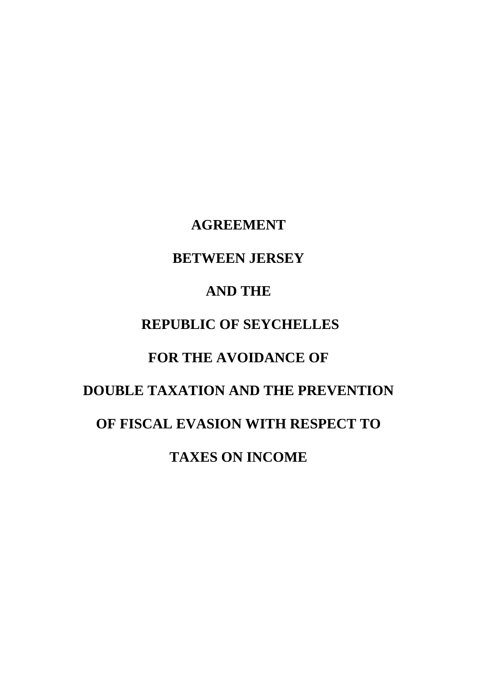**AGREEMENT**

**BETWEEN JERSEY**

# **AND THE**

# **REPUBLIC OF SEYCHELLES**

# **FOR THE AVOIDANCE OF**

# **DOUBLE TAXATION AND THE PREVENTION**

# **OF FISCAL EVASION WITH RESPECT TO**

# **TAXES ON INCOME**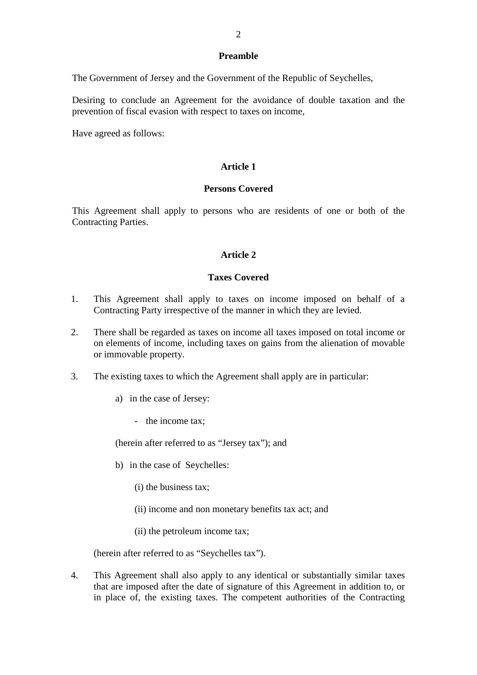## **Preamble**

The Government of Jersey and the Government of the Republic of Seychelles,

Desiring to conclude an Agreement for the avoidance of double taxation and the prevention of fiscal evasion with respect to taxes on income,

Have agreed as follows:

## **Article 1**

## **Persons Covered**

This Agreement shall apply to persons who are residents of one or both of the Contracting Parties.

## **Article 2**

#### **Taxes Covered**

- 1. This Agreement shall apply to taxes on income imposed on behalf of a Contracting Party irrespective of the manner in which they are levied.
- 2. There shall be regarded as taxes on income all taxes imposed on total income or on elements of income, including taxes on gains from the alienation of movable or immovable property.
- 3. The existing taxes to which the Agreement shall apply are in particular:
	- a) in the case of Jersey:
		- the income tax;

(herein after referred to as "Jersey tax"); and

- b) in the case of Seychelles:
	- (i) the business tax;
	- (ii) income and non monetary benefits tax act; and
	- (ii) the petroleum income tax;

(herein after referred to as "Seychelles tax").

4. This Agreement shall also apply to any identical or substantially similar taxes that are imposed after the date of signature of this Agreement in addition to, or in place of, the existing taxes. The competent authorities of the Contracting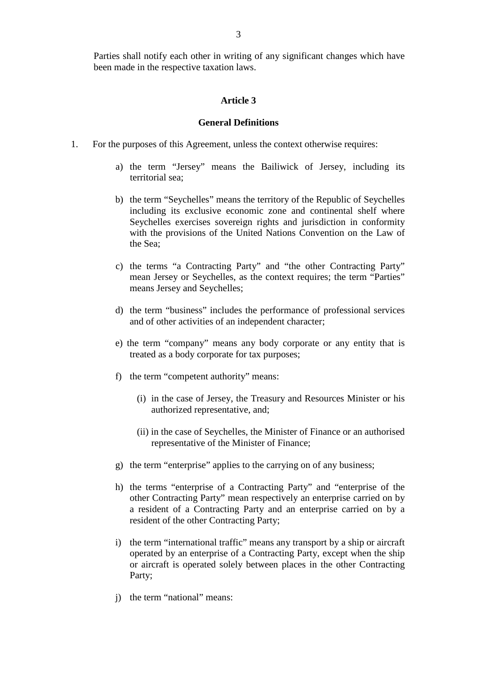Parties shall notify each other in writing of any significant changes which have been made in the respective taxation laws.

### **Article 3**

#### **General Definitions**

- 1. For the purposes of this Agreement, unless the context otherwise requires:
	- a) the term "Jersey" means the Bailiwick of Jersey, including its territorial sea;
	- b) the term "Seychelles" means the territory of the Republic of Seychelles including its exclusive economic zone and continental shelf where Seychelles exercises sovereign rights and jurisdiction in conformity with the provisions of the United Nations Convention on the Law of the Sea;
	- c) the terms "a Contracting Party" and "the other Contracting Party" mean Jersey or Seychelles, as the context requires; the term "Parties" means Jersey and Seychelles;
	- d) the term "business" includes the performance of professional services and of other activities of an independent character;
	- e) the term "company" means any body corporate or any entity that is treated as a body corporate for tax purposes;
	- f) the term "competent authority" means:
		- (i) in the case of Jersey, the Treasury and Resources Minister or his authorized representative, and;
		- (ii) in the case of Seychelles, the Minister of Finance or an authorised representative of the Minister of Finance;
	- g) the term "enterprise" applies to the carrying on of any business;
	- h) the terms "enterprise of a Contracting Party" and "enterprise of the other Contracting Party" mean respectively an enterprise carried on by a resident of a Contracting Party and an enterprise carried on by a resident of the other Contracting Party;
	- i) the term "international traffic" means any transport by a ship or aircraft operated by an enterprise of a Contracting Party, except when the ship or aircraft is operated solely between places in the other Contracting Party;
	- j) the term "national" means: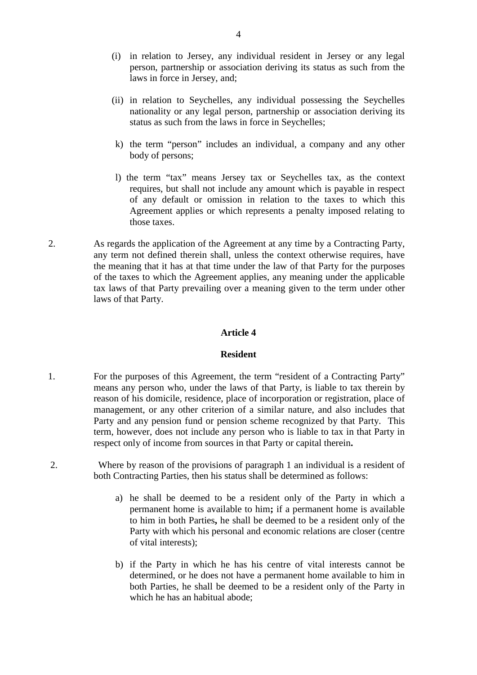- (i) in relation to Jersey, any individual resident in Jersey or any legal person, partnership or association deriving its status as such from the laws in force in Jersey, and;
- (ii) in relation to Seychelles, any individual possessing the Seychelles nationality or any legal person, partnership or association deriving its status as such from the laws in force in Seychelles;
- k) the term "person" includes an individual, a company and any other body of persons;
- l) the term "tax" means Jersey tax or Seychelles tax, as the context requires, but shall not include any amount which is payable in respect of any default or omission in relation to the taxes to which this Agreement applies or which represents a penalty imposed relating to those taxes.
- 2. As regards the application of the Agreement at any time by a Contracting Party, any term not defined therein shall, unless the context otherwise requires, have the meaning that it has at that time under the law of that Party for the purposes of the taxes to which the Agreement applies, any meaning under the applicable tax laws of that Party prevailing over a meaning given to the term under other laws of that Party.

#### **Resident**

- 1. For the purposes of this Agreement, the term "resident of a Contracting Party" means any person who, under the laws of that Party, is liable to tax therein by reason of his domicile, residence, place of incorporation or registration, place of management, or any other criterion of a similar nature, and also includes that Party and any pension fund or pension scheme recognized by that Party. This term, however, does not include any person who is liable to tax in that Party in respect only of income from sources in that Party or capital therein**.**
- 2. Where by reason of the provisions of paragraph 1 an individual is a resident of both Contracting Parties, then his status shall be determined as follows:
	- a) he shall be deemed to be a resident only of the Party in which a permanent home is available to him**;** if a permanent home is available to him in both Parties**,** he shall be deemed to be a resident only of the Party with which his personal and economic relations are closer (centre of vital interests);
	- b) if the Party in which he has his centre of vital interests cannot be determined, or he does not have a permanent home available to him in both Parties, he shall be deemed to be a resident only of the Party in which he has an habitual abode;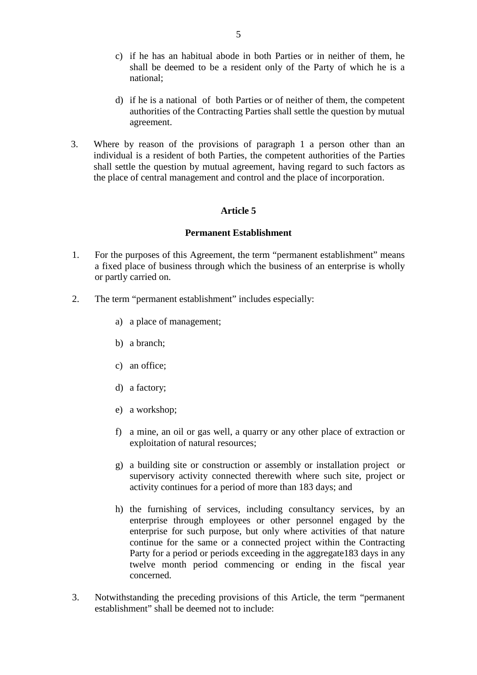- c) if he has an habitual abode in both Parties or in neither of them, he shall be deemed to be a resident only of the Party of which he is a national;
- d) if he is a national of both Parties or of neither of them, the competent authorities of the Contracting Parties shall settle the question by mutual agreement.
- 3. Where by reason of the provisions of paragraph 1 a person other than an individual is a resident of both Parties, the competent authorities of the Parties shall settle the question by mutual agreement, having regard to such factors as the place of central management and control and the place of incorporation.

#### **Permanent Establishment**

- 1. For the purposes of this Agreement, the term "permanent establishment" means a fixed place of business through which the business of an enterprise is wholly or partly carried on.
- 2. The term "permanent establishment" includes especially:
	- a) a place of management;
	- b) a branch;
	- c) an office;
	- d) a factory;
	- e) a workshop;
	- f) a mine, an oil or gas well, a quarry or any other place of extraction or exploitation of natural resources;
	- g) a building site or construction or assembly or installation project or supervisory activity connected therewith where such site, project or activity continues for a period of more than 183 days; and
	- h) the furnishing of services, including consultancy services, by an enterprise through employees or other personnel engaged by the enterprise for such purpose, but only where activities of that nature continue for the same or a connected project within the Contracting Party for a period or periods exceeding in the aggregate183 days in any twelve month period commencing or ending in the fiscal year concerned.
- 3. Notwithstanding the preceding provisions of this Article, the term "permanent establishment" shall be deemed not to include: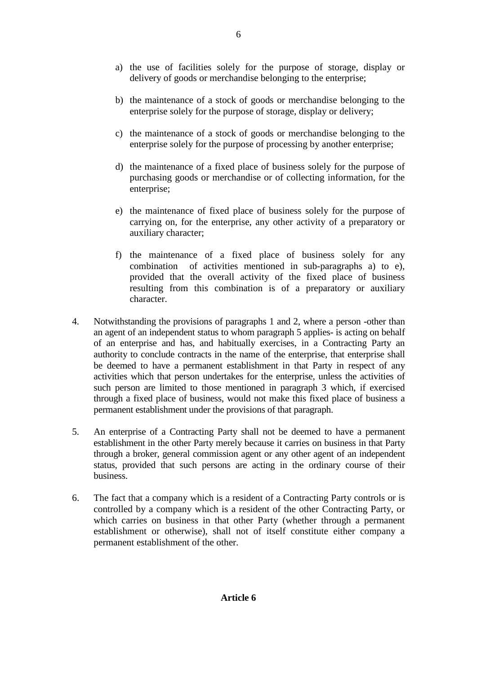- a) the use of facilities solely for the purpose of storage, display or delivery of goods or merchandise belonging to the enterprise;
- b) the maintenance of a stock of goods or merchandise belonging to the enterprise solely for the purpose of storage, display or delivery;
- c) the maintenance of a stock of goods or merchandise belonging to the enterprise solely for the purpose of processing by another enterprise;
- d) the maintenance of a fixed place of business solely for the purpose of purchasing goods or merchandise or of collecting information, for the enterprise;
- e) the maintenance of fixed place of business solely for the purpose of carrying on, for the enterprise, any other activity of a preparatory or auxiliary character;
- f) the maintenance of a fixed place of business solely for any combination of activities mentioned in sub-paragraphs a) to e), provided that the overall activity of the fixed place of business resulting from this combination is of a preparatory or auxiliary character.
- 4. Notwithstanding the provisions of paragraphs 1 and 2, where a person -other than an agent of an independent status to whom paragraph 5 applies- is acting on behalf of an enterprise and has, and habitually exercises, in a Contracting Party an authority to conclude contracts in the name of the enterprise, that enterprise shall be deemed to have a permanent establishment in that Party in respect of any activities which that person undertakes for the enterprise, unless the activities of such person are limited to those mentioned in paragraph 3 which, if exercised through a fixed place of business, would not make this fixed place of business a permanent establishment under the provisions of that paragraph.
- 5. An enterprise of a Contracting Party shall not be deemed to have a permanent establishment in the other Party merely because it carries on business in that Party through a broker, general commission agent or any other agent of an independent status, provided that such persons are acting in the ordinary course of their business.
- 6. The fact that a company which is a resident of a Contracting Party controls or is controlled by a company which is a resident of the other Contracting Party, or which carries on business in that other Party (whether through a permanent establishment or otherwise), shall not of itself constitute either company a permanent establishment of the other.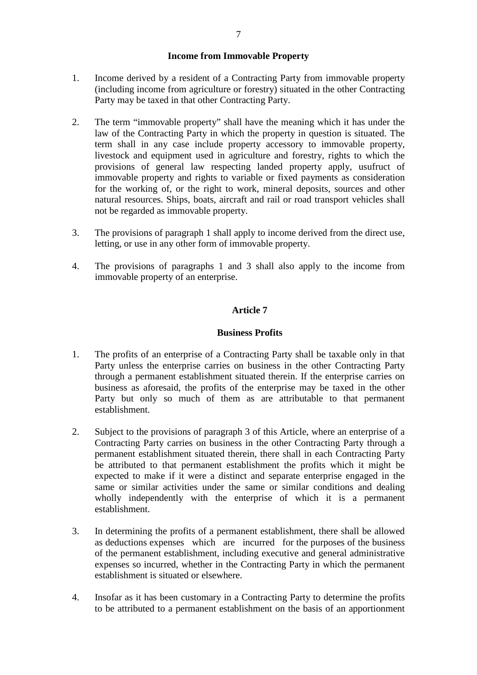## **Income from Immovable Property**

- 1. Income derived by a resident of a Contracting Party from immovable property (including income from agriculture or forestry) situated in the other Contracting Party may be taxed in that other Contracting Party.
- 2. The term "immovable property" shall have the meaning which it has under the law of the Contracting Party in which the property in question is situated. The term shall in any case include property accessory to immovable property, livestock and equipment used in agriculture and forestry, rights to which the provisions of general law respecting landed property apply, usufruct of immovable property and rights to variable or fixed payments as consideration for the working of, or the right to work, mineral deposits, sources and other natural resources. Ships, boats, aircraft and rail or road transport vehicles shall not be regarded as immovable property.
- 3. The provisions of paragraph 1 shall apply to income derived from the direct use, letting, or use in any other form of immovable property.
- 4. The provisions of paragraphs 1 and 3 shall also apply to the income from immovable property of an enterprise.

## **Article 7**

#### **Business Profits**

- 1. The profits of an enterprise of a Contracting Party shall be taxable only in that Party unless the enterprise carries on business in the other Contracting Party through a permanent establishment situated therein. If the enterprise carries on business as aforesaid, the profits of the enterprise may be taxed in the other Party but only so much of them as are attributable to that permanent establishment.
- 2. Subject to the provisions of paragraph 3 of this Article, where an enterprise of a Contracting Party carries on business in the other Contracting Party through a permanent establishment situated therein, there shall in each Contracting Party be attributed to that permanent establishment the profits which it might be expected to make if it were a distinct and separate enterprise engaged in the same or similar activities under the same or similar conditions and dealing wholly independently with the enterprise of which it is a permanent establishment.
- 3. In determining the profits of a permanent establishment, there shall be allowed as deductions expenses which are incurred for the purposes of the business of the permanent establishment, including executive and general administrative expenses so incurred, whether in the Contracting Party in which the permanent establishment is situated or elsewhere.
- 4. Insofar as it has been customary in a Contracting Party to determine the profits to be attributed to a permanent establishment on the basis of an apportionment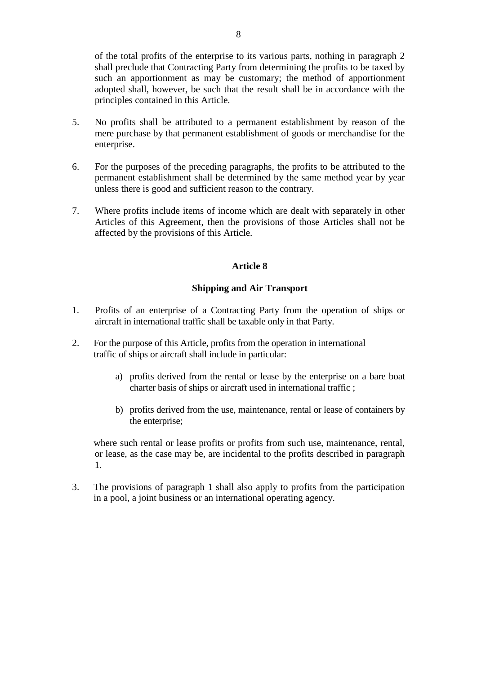of the total profits of the enterprise to its various parts, nothing in paragraph 2 shall preclude that Contracting Party from determining the profits to be taxed by such an apportionment as may be customary; the method of apportionment adopted shall, however, be such that the result shall be in accordance with the principles contained in this Article.

- 5. No profits shall be attributed to a permanent establishment by reason of the mere purchase by that permanent establishment of goods or merchandise for the enterprise.
- 6. For the purposes of the preceding paragraphs, the profits to be attributed to the permanent establishment shall be determined by the same method year by year unless there is good and sufficient reason to the contrary.
- 7. Where profits include items of income which are dealt with separately in other Articles of this Agreement, then the provisions of those Articles shall not be affected by the provisions of this Article.

## **Article 8**

## **Shipping and Air Transport**

- 1. Profits of an enterprise of a Contracting Party from the operation of ships or aircraft in international traffic shall be taxable only in that Party.
- 2. For the purpose of this Article, profits from the operation in international traffic of ships or aircraft shall include in particular:
	- a) profits derived from the rental or lease by the enterprise on a bare boat charter basis of ships or aircraft used in international traffic ;
	- b) profits derived from the use, maintenance, rental or lease of containers by the enterprise;

where such rental or lease profits or profits from such use, maintenance, rental, or lease, as the case may be, are incidental to the profits described in paragraph 1.

3. The provisions of paragraph 1 shall also apply to profits from the participation in a pool, a joint business or an international operating agency.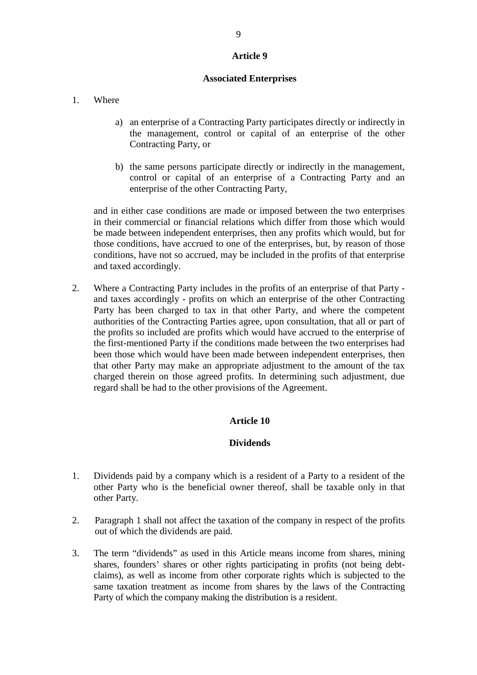### **Associated Enterprises**

- 1. Where
	- a) an enterprise of a Contracting Party participates directly or indirectly in the management, control or capital of an enterprise of the other Contracting Party, or
	- b) the same persons participate directly or indirectly in the management, control or capital of an enterprise of a Contracting Party and an enterprise of the other Contracting Party,

and in either case conditions are made or imposed between the two enterprises in their commercial or financial relations which differ from those which would be made between independent enterprises, then any profits which would, but for those conditions, have accrued to one of the enterprises, but, by reason of those conditions, have not so accrued, may be included in the profits of that enterprise and taxed accordingly.

2. Where a Contracting Party includes in the profits of an enterprise of that Party and taxes accordingly - profits on which an enterprise of the other Contracting Party has been charged to tax in that other Party, and where the competent authorities of the Contracting Parties agree, upon consultation, that all or part of the profits so included are profits which would have accrued to the enterprise of the first-mentioned Party if the conditions made between the two enterprises had been those which would have been made between independent enterprises, then that other Party may make an appropriate adjustment to the amount of the tax charged therein on those agreed profits. In determining such adjustment, due regard shall be had to the other provisions of the Agreement.

## **Article 10**

## **Dividends**

- 1. Dividends paid by a company which is a resident of a Party to a resident of the other Party who is the beneficial owner thereof, shall be taxable only in that other Party.
- 2. Paragraph 1 shall not affect the taxation of the company in respect of the profits out of which the dividends are paid.
- 3. The term "dividends" as used in this Article means income from shares, mining shares, founders' shares or other rights participating in profits (not being debtclaims), as well as income from other corporate rights which is subjected to the same taxation treatment as income from shares by the laws of the Contracting Party of which the company making the distribution is a resident.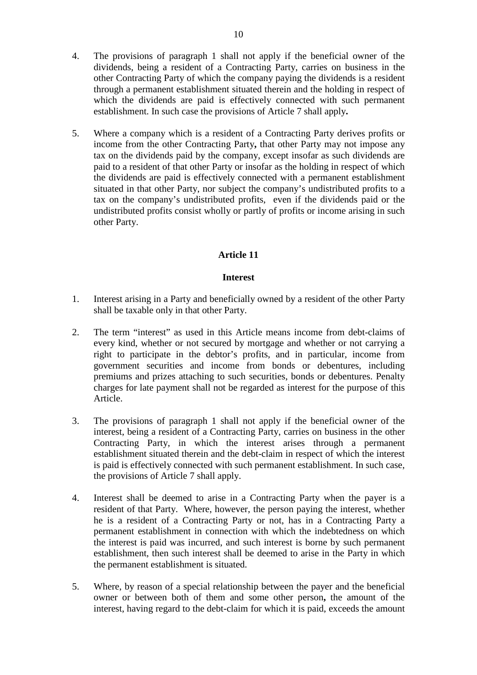- 4. The provisions of paragraph 1 shall not apply if the beneficial owner of the dividends, being a resident of a Contracting Party, carries on business in the other Contracting Party of which the company paying the dividends is a resident through a permanent establishment situated therein and the holding in respect of which the dividends are paid is effectively connected with such permanent establishment. In such case the provisions of Article 7 shall apply**.**
- 5. Where a company which is a resident of a Contracting Party derives profits or income from the other Contracting Party**,** that other Party may not impose any tax on the dividends paid by the company, except insofar as such dividends are paid to a resident of that other Party or insofar as the holding in respect of which the dividends are paid is effectively connected with a permanent establishment situated in that other Party, nor subject the company's undistributed profits to a tax on the company's undistributed profits, even if the dividends paid or the undistributed profits consist wholly or partly of profits or income arising in such other Party.

#### **Interest**

- 1. Interest arising in a Party and beneficially owned by a resident of the other Party shall be taxable only in that other Party.
- 2. The term "interest" as used in this Article means income from debt-claims of every kind, whether or not secured by mortgage and whether or not carrying a right to participate in the debtor's profits, and in particular, income from government securities and income from bonds or debentures, including premiums and prizes attaching to such securities, bonds or debentures. Penalty charges for late payment shall not be regarded as interest for the purpose of this Article.
- 3. The provisions of paragraph 1 shall not apply if the beneficial owner of the interest, being a resident of a Contracting Party, carries on business in the other Contracting Party, in which the interest arises through a permanent establishment situated therein and the debt-claim in respect of which the interest is paid is effectively connected with such permanent establishment. In such case, the provisions of Article 7 shall apply.
- 4. Interest shall be deemed to arise in a Contracting Party when the payer is a resident of that Party. Where, however, the person paying the interest, whether he is a resident of a Contracting Party or not, has in a Contracting Party a permanent establishment in connection with which the indebtedness on which the interest is paid was incurred, and such interest is borne by such permanent establishment, then such interest shall be deemed to arise in the Party in which the permanent establishment is situated.
- 5. Where, by reason of a special relationship between the payer and the beneficial owner or between both of them and some other person**,** the amount of the interest, having regard to the debt-claim for which it is paid, exceeds the amount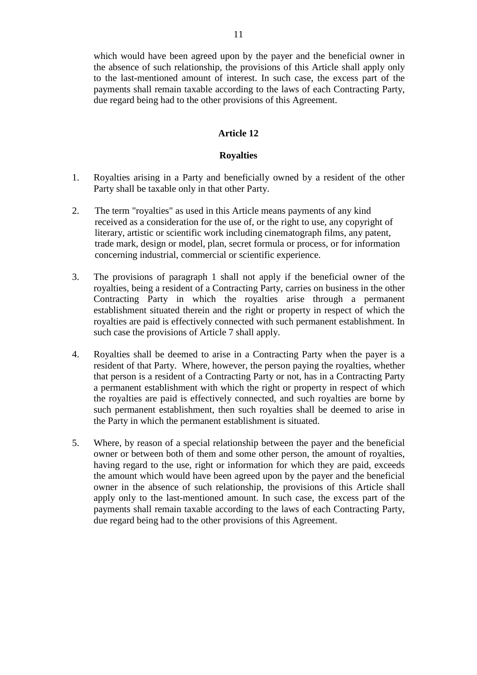which would have been agreed upon by the payer and the beneficial owner in the absence of such relationship, the provisions of this Article shall apply only to the last-mentioned amount of interest. In such case, the excess part of the payments shall remain taxable according to the laws of each Contracting Party, due regard being had to the other provisions of this Agreement.

#### **Article 12**

#### **Royalties**

- 1. Royalties arising in a Party and beneficially owned by a resident of the other Party shall be taxable only in that other Party.
- 2. The term "royalties" as used in this Article means payments of any kind received as a consideration for the use of, or the right to use, any copyright of literary, artistic or scientific work including cinematograph films, any patent, trade mark, design or model, plan, secret formula or process, or for information concerning industrial, commercial or scientific experience.
- 3. The provisions of paragraph 1 shall not apply if the beneficial owner of the royalties, being a resident of a Contracting Party, carries on business in the other Contracting Party in which the royalties arise through a permanent establishment situated therein and the right or property in respect of which the royalties are paid is effectively connected with such permanent establishment. In such case the provisions of Article 7 shall apply.
- 4. Royalties shall be deemed to arise in a Contracting Party when the payer is a resident of that Party. Where, however, the person paying the royalties, whether that person is a resident of a Contracting Party or not, has in a Contracting Party a permanent establishment with which the right or property in respect of which the royalties are paid is effectively connected, and such royalties are borne by such permanent establishment, then such royalties shall be deemed to arise in the Party in which the permanent establishment is situated.
- 5. Where, by reason of a special relationship between the payer and the beneficial owner or between both of them and some other person, the amount of royalties, having regard to the use, right or information for which they are paid, exceeds the amount which would have been agreed upon by the payer and the beneficial owner in the absence of such relationship, the provisions of this Article shall apply only to the last-mentioned amount. In such case, the excess part of the payments shall remain taxable according to the laws of each Contracting Party, due regard being had to the other provisions of this Agreement.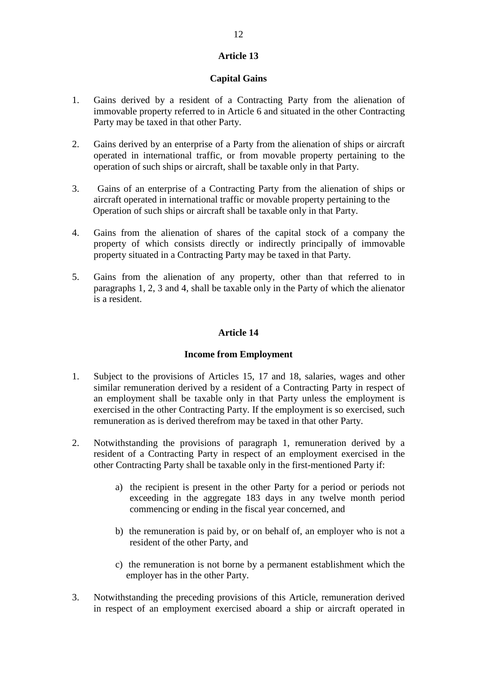## **Capital Gains**

- 1. Gains derived by a resident of a Contracting Party from the alienation of immovable property referred to in Article 6 and situated in the other Contracting Party may be taxed in that other Party.
- 2. Gains derived by an enterprise of a Party from the alienation of ships or aircraft operated in international traffic, or from movable property pertaining to the operation of such ships or aircraft, shall be taxable only in that Party.
- 3. Gains of an enterprise of a Contracting Party from the alienation of ships or aircraft operated in international traffic or movable property pertaining to the Operation of such ships or aircraft shall be taxable only in that Party.
- 4. Gains from the alienation of shares of the capital stock of a company the property of which consists directly or indirectly principally of immovable property situated in a Contracting Party may be taxed in that Party.
- 5. Gains from the alienation of any property, other than that referred to in paragraphs 1, 2, 3 and 4, shall be taxable only in the Party of which the alienator is a resident.

### **Article 14**

## **Income from Employment**

- 1. Subject to the provisions of Articles 15, 17 and 18, salaries, wages and other similar remuneration derived by a resident of a Contracting Party in respect of an employment shall be taxable only in that Party unless the employment is exercised in the other Contracting Party. If the employment is so exercised, such remuneration as is derived therefrom may be taxed in that other Party.
- 2. Notwithstanding the provisions of paragraph 1, remuneration derived by a resident of a Contracting Party in respect of an employment exercised in the other Contracting Party shall be taxable only in the first-mentioned Party if:
	- a) the recipient is present in the other Party for a period or periods not exceeding in the aggregate 183 days in any twelve month period commencing or ending in the fiscal year concerned, and
	- b) the remuneration is paid by, or on behalf of, an employer who is not a resident of the other Party, and
	- c) the remuneration is not borne by a permanent establishment which the employer has in the other Party.
- 3. Notwithstanding the preceding provisions of this Article, remuneration derived in respect of an employment exercised aboard a ship or aircraft operated in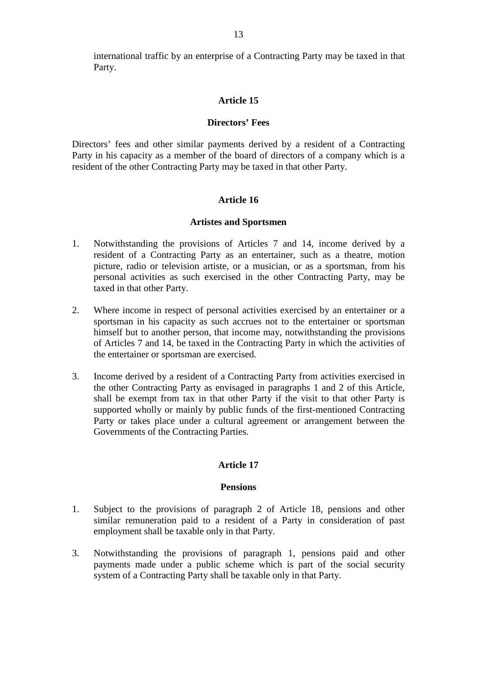international traffic by an enterprise of a Contracting Party may be taxed in that Party.

#### **Article 15**

#### **Directors' Fees**

Directors' fees and other similar payments derived by a resident of a Contracting Party in his capacity as a member of the board of directors of a company which is a resident of the other Contracting Party may be taxed in that other Party.

#### **Article 16**

#### **Artistes and Sportsmen**

- 1. Notwithstanding the provisions of Articles 7 and 14, income derived by a resident of a Contracting Party as an entertainer, such as a theatre, motion picture, radio or television artiste, or a musician, or as a sportsman, from his personal activities as such exercised in the other Contracting Party, may be taxed in that other Party.
- 2. Where income in respect of personal activities exercised by an entertainer or a sportsman in his capacity as such accrues not to the entertainer or sportsman himself but to another person, that income may, notwithstanding the provisions of Articles 7 and 14, be taxed in the Contracting Party in which the activities of the entertainer or sportsman are exercised.
- 3. Income derived by a resident of a Contracting Party from activities exercised in the other Contracting Party as envisaged in paragraphs 1 and 2 of this Article, shall be exempt from tax in that other Party if the visit to that other Party is supported wholly or mainly by public funds of the first-mentioned Contracting Party or takes place under a cultural agreement or arrangement between the Governments of the Contracting Parties.

#### **Article 17**

#### **Pensions**

- 1. Subject to the provisions of paragraph 2 of Article 18, pensions and other similar remuneration paid to a resident of a Party in consideration of past employment shall be taxable only in that Party.
- 3. Notwithstanding the provisions of paragraph 1, pensions paid and other payments made under a public scheme which is part of the social security system of a Contracting Party shall be taxable only in that Party.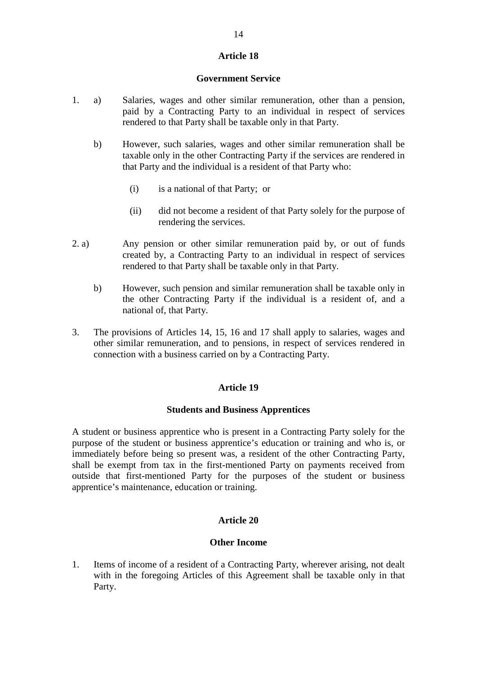#### **Government Service**

- 1. a) Salaries, wages and other similar remuneration, other than a pension, paid by a Contracting Party to an individual in respect of services rendered to that Party shall be taxable only in that Party.
	- b) However, such salaries, wages and other similar remuneration shall be taxable only in the other Contracting Party if the services are rendered in that Party and the individual is a resident of that Party who:
		- (i) is a national of that Party; or
		- (ii) did not become a resident of that Party solely for the purpose of rendering the services.
- 2. a) Any pension or other similar remuneration paid by, or out of funds created by, a Contracting Party to an individual in respect of services rendered to that Party shall be taxable only in that Party.
	- b) However, such pension and similar remuneration shall be taxable only in the other Contracting Party if the individual is a resident of, and a national of, that Party.
- 3. The provisions of Articles 14, 15, 16 and 17 shall apply to salaries, wages and other similar remuneration, and to pensions, in respect of services rendered in connection with a business carried on by a Contracting Party.

## **Article 19**

## **Students and Business Apprentices**

A student or business apprentice who is present in a Contracting Party solely for the purpose of the student or business apprentice's education or training and who is, or immediately before being so present was, a resident of the other Contracting Party, shall be exempt from tax in the first-mentioned Party on payments received from outside that first-mentioned Party for the purposes of the student or business apprentice's maintenance, education or training.

## **Article 20**

## **Other Income**

1. Items of income of a resident of a Contracting Party, wherever arising, not dealt with in the foregoing Articles of this Agreement shall be taxable only in that Party.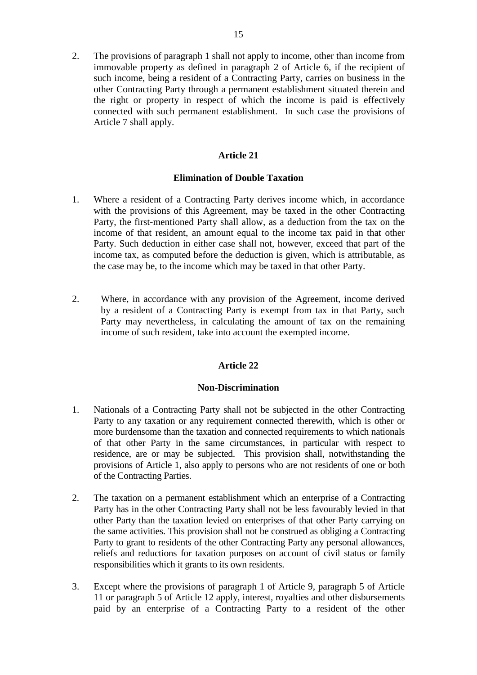2. The provisions of paragraph 1 shall not apply to income, other than income from immovable property as defined in paragraph 2 of Article 6, if the recipient of such income, being a resident of a Contracting Party, carries on business in the other Contracting Party through a permanent establishment situated therein and the right or property in respect of which the income is paid is effectively connected with such permanent establishment. In such case the provisions of Article 7 shall apply.

## **Article 21**

## **Elimination of Double Taxation**

- 1. Where a resident of a Contracting Party derives income which, in accordance with the provisions of this Agreement, may be taxed in the other Contracting Party, the first-mentioned Party shall allow, as a deduction from the tax on the income of that resident, an amount equal to the income tax paid in that other Party. Such deduction in either case shall not, however, exceed that part of the income tax, as computed before the deduction is given, which is attributable, as the case may be, to the income which may be taxed in that other Party.
- 2. Where, in accordance with any provision of the Agreement, income derived by a resident of a Contracting Party is exempt from tax in that Party, such Party may nevertheless, in calculating the amount of tax on the remaining income of such resident, take into account the exempted income.

## **Article 22**

## **Non-Discrimination**

- 1. Nationals of a Contracting Party shall not be subjected in the other Contracting Party to any taxation or any requirement connected therewith, which is other or more burdensome than the taxation and connected requirements to which nationals of that other Party in the same circumstances, in particular with respect to residence, are or may be subjected. This provision shall, notwithstanding the provisions of Article 1, also apply to persons who are not residents of one or both of the Contracting Parties.
- 2. The taxation on a permanent establishment which an enterprise of a Contracting Party has in the other Contracting Party shall not be less favourably levied in that other Party than the taxation levied on enterprises of that other Party carrying on the same activities. This provision shall not be construed as obliging a Contracting Party to grant to residents of the other Contracting Party any personal allowances, reliefs and reductions for taxation purposes on account of civil status or family responsibilities which it grants to its own residents.
- 3. Except where the provisions of paragraph 1 of Article 9, paragraph 5 of Article 11 or paragraph 5 of Article 12 apply, interest, royalties and other disbursements paid by an enterprise of a Contracting Party to a resident of the other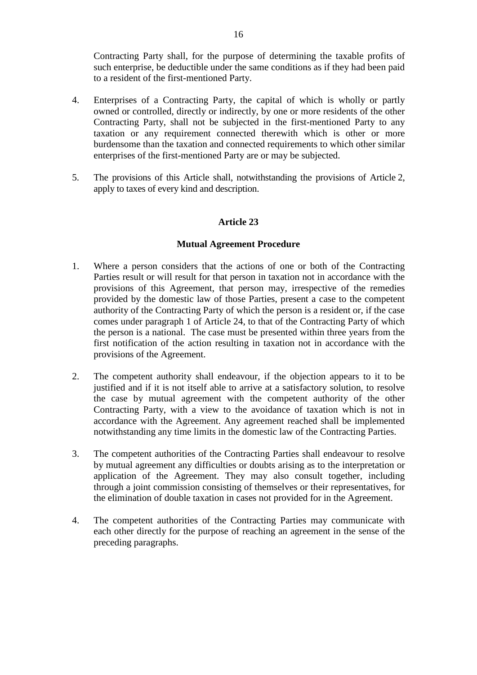Contracting Party shall, for the purpose of determining the taxable profits of such enterprise, be deductible under the same conditions as if they had been paid to a resident of the first-mentioned Party.

- 4. Enterprises of a Contracting Party, the capital of which is wholly or partly owned or controlled, directly or indirectly, by one or more residents of the other Contracting Party, shall not be subjected in the first-mentioned Party to any taxation or any requirement connected therewith which is other or more burdensome than the taxation and connected requirements to which other similar enterprises of the first-mentioned Party are or may be subjected.
- 5. The provisions of this Article shall, notwithstanding the provisions of Article 2, apply to taxes of every kind and description.

## **Article 23**

#### **Mutual Agreement Procedure**

- 1. Where a person considers that the actions of one or both of the Contracting Parties result or will result for that person in taxation not in accordance with the provisions of this Agreement, that person may, irrespective of the remedies provided by the domestic law of those Parties, present a case to the competent authority of the Contracting Party of which the person is a resident or, if the case comes under paragraph 1 of Article 24, to that of the Contracting Party of which the person is a national. The case must be presented within three years from the first notification of the action resulting in taxation not in accordance with the provisions of the Agreement.
- 2. The competent authority shall endeavour, if the objection appears to it to be justified and if it is not itself able to arrive at a satisfactory solution, to resolve the case by mutual agreement with the competent authority of the other Contracting Party, with a view to the avoidance of taxation which is not in accordance with the Agreement. Any agreement reached shall be implemented notwithstanding any time limits in the domestic law of the Contracting Parties.
- 3. The competent authorities of the Contracting Parties shall endeavour to resolve by mutual agreement any difficulties or doubts arising as to the interpretation or application of the Agreement. They may also consult together, including through a joint commission consisting of themselves or their representatives, for the elimination of double taxation in cases not provided for in the Agreement.
- 4. The competent authorities of the Contracting Parties may communicate with each other directly for the purpose of reaching an agreement in the sense of the preceding paragraphs.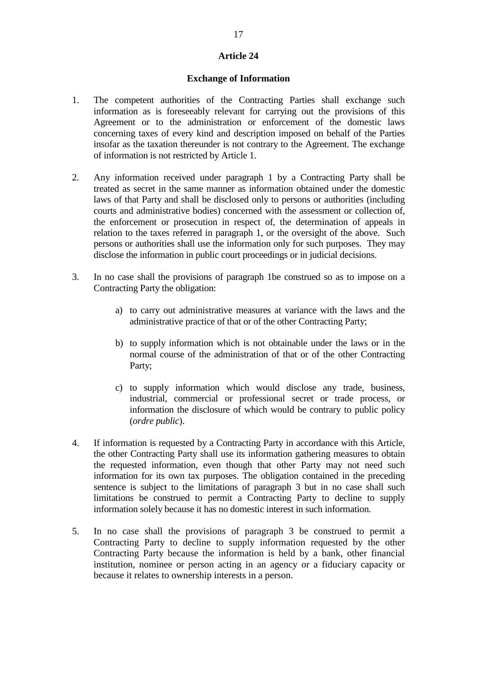#### **Exchange of Information**

- 1. The competent authorities of the Contracting Parties shall exchange such information as is foreseeably relevant for carrying out the provisions of this Agreement or to the administration or enforcement of the domestic laws concerning taxes of every kind and description imposed on behalf of the Parties insofar as the taxation thereunder is not contrary to the Agreement. The exchange of information is not restricted by Article 1.
- 2. Any information received under paragraph 1 by a Contracting Party shall be treated as secret in the same manner as information obtained under the domestic laws of that Party and shall be disclosed only to persons or authorities (including courts and administrative bodies) concerned with the assessment or collection of, the enforcement or prosecution in respect of, the determination of appeals in relation to the taxes referred in paragraph 1, or the oversight of the above. Such persons or authorities shall use the information only for such purposes. They may disclose the information in public court proceedings or in judicial decisions.
- 3. In no case shall the provisions of paragraph 1be construed so as to impose on a Contracting Party the obligation:
	- a) to carry out administrative measures at variance with the laws and the administrative practice of that or of the other Contracting Party;
	- b) to supply information which is not obtainable under the laws or in the normal course of the administration of that or of the other Contracting Party;
	- c) to supply information which would disclose any trade, business, industrial, commercial or professional secret or trade process, or information the disclosure of which would be contrary to public policy (*ordre public*).
- 4. If information is requested by a Contracting Party in accordance with this Article, the other Contracting Party shall use its information gathering measures to obtain the requested information, even though that other Party may not need such information for its own tax purposes. The obligation contained in the preceding sentence is subject to the limitations of paragraph 3 but in no case shall such limitations be construed to permit a Contracting Party to decline to supply information solely because it has no domestic interest in such information.
- 5. In no case shall the provisions of paragraph 3 be construed to permit a Contracting Party to decline to supply information requested by the other Contracting Party because the information is held by a bank, other financial institution, nominee or person acting in an agency or a fiduciary capacity or because it relates to ownership interests in a person.